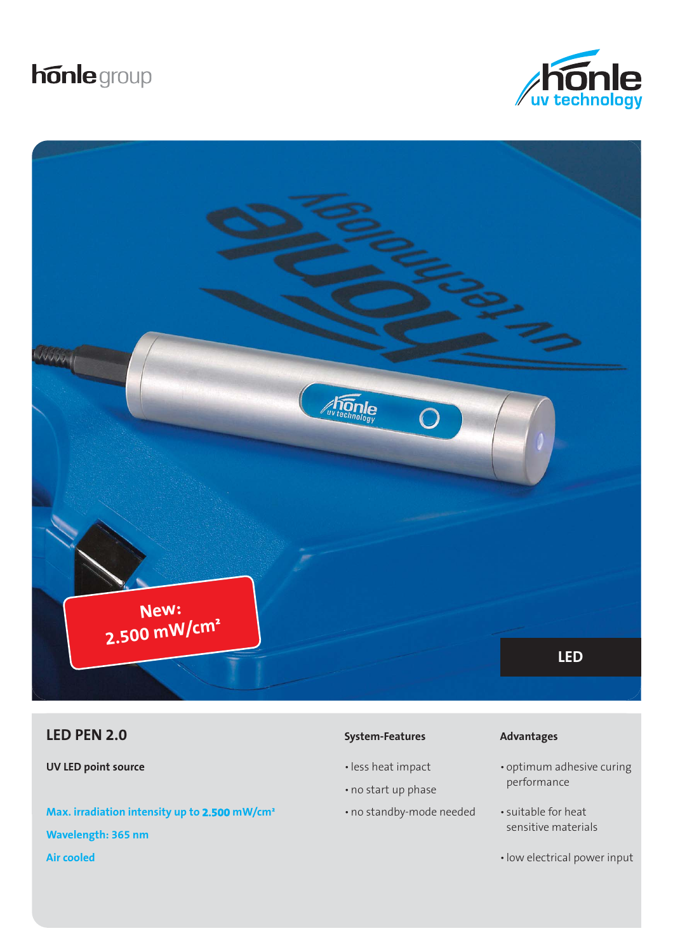# **honle** group





# **System-Features Advantages Advantages CED PEN 2.0 Advantages**

**UV LED point source**

**Max. irradiation intensity up to 2.500 mW/cm² Wavelength: 365 nm Air cooled**

- less heat impact
- no start up phase
- no standby-mode needed

- optimum adhesive curing performance
- suitable for heat sensitive materials
- low electrical power input